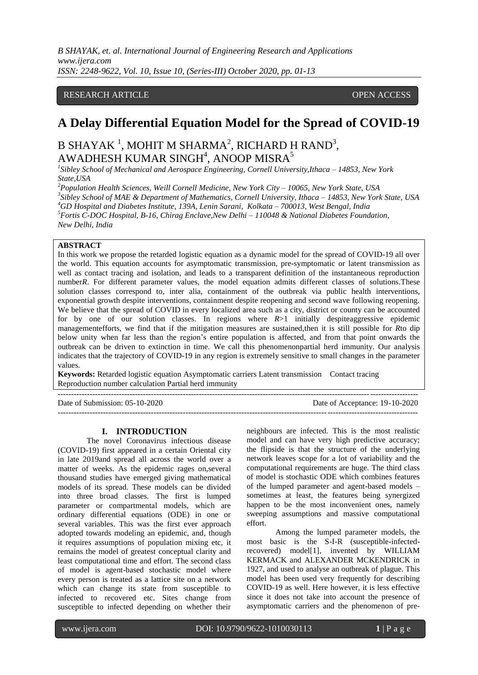*B SHAYAK, et. al. International Journal of Engineering Research and Applications www.ijera.com ISSN: 2248-9622, Vol. 10, Issue 10, (Series-III) October 2020, pp. 01-13*

## RESEARCH ARTICLE **CONSERVERS** OPEN ACCESS

# **A Delay Differential Equation Model for the Spread of COVID-19**

# B SHAYAK  $^1$ , MOHIT M SHARMA $^2$ , RICHARD H RAND $^3$ , AWADHESH KUMAR SINGH $^4$ , ANOOP MISRA $^5$

*1 Sibley School of Mechanical and Aerospace Engineering, Cornell University,Ithaca – 14853, New York State,USA*

*Population Health Sciences, Weill Cornell Medicine, New York City – 10065, New York State, USA Sibley School of MAE & Department of Mathematics, Cornell University, Ithaca – 14853, New York State, USA GD Hospital and Diabetes Institute, 139A, Lenin Sarani, Kolkata – 700013, West Bengal, India Fortis C-DOC Hospital, B-16, Chirag Enclave,New Delhi – 110048 & National Diabetes Foundation, New Delhi, India*

### **ABSTRACT**

In this work we propose the retarded logistic equation as a dynamic model for the spread of COVID-19 all over the world. This equation accounts for asymptomatic transmission, pre-symptomatic or latent transmission as well as contact tracing and isolation, and leads to a transparent definition of the instantaneous reproduction number*R*. For different parameter values, the model equation admits different classes of solutions. These solution classes correspond to, inter alia, containment of the outbreak via public health interventions, exponential growth despite interventions, containment despite reopening and second wave following reopening. We believe that the spread of COVID in every localized area such as a city, district or county can be accounted for by one of our solution classes. In regions where *R*>1 initially despiteaggressive epidemic managementefforts, we find that if the mitigation measures are sustained,then it is still possible for *R*to dip below unity when far less than the region's entire population is affected, and from that point onwards the outbreak can be driven to extinction in time. We call this phenomenonpartial herd immunity. Our analysis indicates that the trajectory of COVID-19 in any region is extremely sensitive to small changes in the parameter values.

**Keywords:** Retarded logistic equation Asymptomatic carriers Latent transmission Contact tracing Reproduction number calculation Partial herd immunity

---------------------------------------------------------------------------------------------------------------------------------------

Date of Submission: 05-10-2020 Date of Acceptance: 19-10-2020 ---------------------------------------------------------------------------------------------------------------------------------------

#### **I. INTRODUCTION**

The novel Coronavirus infectious disease (COVID-19) first appeared in a certain Oriental city in late 2019and spread all across the world over a matter of weeks. As the epidemic rages on,several thousand studies have emerged giving mathematical models of its spread. These models can be divided into three broad classes. The first is lumped parameter or compartmental models, which are ordinary differential equations (ODE) in one or several variables. This was the first ever approach adopted towards modeling an epidemic, and, though it requires assumptions of population mixing etc, it remains the model of greatest conceptual clarity and least computational time and effort. The second class of model is agent-based stochastic model where every person is treated as a lattice site on a network which can change its state from susceptible to infected to recovered etc. Sites change from susceptible to infected depending on whether their

neighbours are infected. This is the most realistic model and can have very high predictive accuracy; the flipside is that the structure of the underlying network leaves scope for a lot of variability and the computational requirements are huge. The third class of model is stochastic ODE which combines features of the lumped parameter and agent-based models – sometimes at least, the features being synergized happen to be the most inconvenient ones, namely sweeping assumptions and massive computational effort.

Among the lumped parameter models, the most basic is the S-I-R (susceptible-infectedrecovered) model[1], invented by WILLIAM KERMACK and ALEXANDER MCKENDRICK in 1927, and used to analyse an outbreak of plague. This model has been used very frequently for describing COVID-19 as well. Here however, it is less effective since it does not take into account the presence of asymptomatic carriers and the phenomenon of pre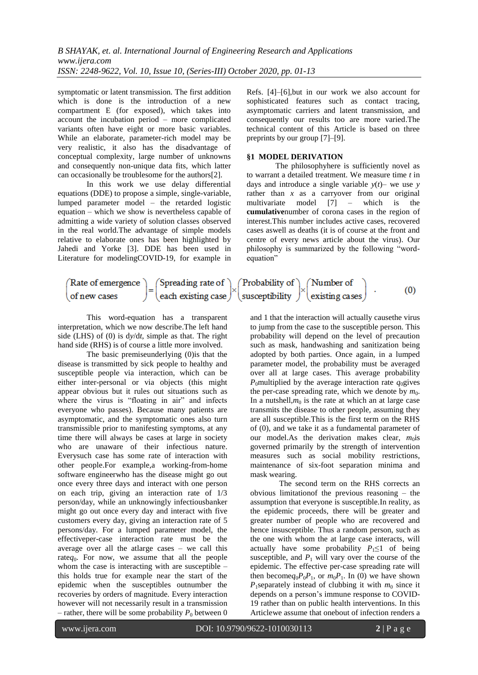symptomatic or latent transmission. The first addition which is done is the introduction of a new compartment E (for exposed), which takes into account the incubation period – more complicated variants often have eight or more basic variables. While an elaborate, parameter-rich model may be very realistic, it also has the disadvantage of conceptual complexity, large number of unknowns and consequently non-unique data fits, which latter can occasionally be troublesome for the authors[2].

In this work we use delay differential equations (DDE) to propose a simple, single-variable, lumped parameter model – the retarded logistic equation – which we show is nevertheless capable of admitting a wide variety of solution classes observed in the real world.The advantage of simple models relative to elaborate ones has been highlighted by Jahedi and Yorke [3]. DDE has been used in Literature for modelingCOVID-19, for example in

Refs. [4]–[6],but in our work we also account for sophisticated features such as contact tracing, asymptomatic carriers and latent transmission, and consequently our results too are more varied.The technical content of this Article is based on three preprints by our group [7]–[9].

#### **§1 MODEL DERIVATION**

The philosophyhere is sufficiently novel as to warrant a detailed treatment. We measure time *t* in days and introduce a single variable  $y(t)$ – we use *y* rather than *x* as a carryover from our original multivariate model [7] – which is the **cumulative**number of corona cases in the region of interest.This number includes active cases, recovered cases aswell as deaths (it is of course at the front and centre of every news article about the virus). Our philosophy is summarized by the following "wordequation"

| Rate of emergence $\big)$ (Spreading rate of $\big)$ (Probability of $\big)$ (Number of |  |                                                                              |  |  |     |
|-----------------------------------------------------------------------------------------|--|------------------------------------------------------------------------------|--|--|-----|
| of new cases                                                                            |  | $\int$ each existing case $\int$ susceptibility $\int$ existing cases $\int$ |  |  | (0) |

This word-equation has a transparent interpretation, which we now describe.The left hand side (LHS) of (0) is d*y*/d*t*, simple as that. The right hand side (RHS) is of course a little more involved.

The basic premiseunderlying (0)is that the disease is transmitted by sick people to healthy and susceptible people via interaction, which can be either inter-personal or via objects (this might appear obvious but it rules out situations such as where the virus is "floating in air" and infects everyone who passes). Because many patients are asymptomatic, and the symptomatic ones also turn transmissible prior to manifesting symptoms, at any time there will always be cases at large in society who are unaware of their infectious nature. Everysuch case has some rate of interaction with other people.For example,a working-from-home software engineerwho has the disease might go out once every three days and interact with one person on each trip, giving an interaction rate of 1/3 person/day, while an unknowingly infectiousbanker might go out once every day and interact with five customers every day, giving an interaction rate of 5 persons/day. For a lumped parameter model, the effectiveper-case interaction rate must be the average over all the atlarge cases – we call this rate $q_0$ . For now, we assume that all the people whom the case is interacting with are susceptible – this holds true for example near the start of the epidemic when the susceptibles outnumber the recoveries by orders of magnitude. Every interaction however will not necessarily result in a transmission – rather, there will be some probability  $P_0$  between 0

and 1 that the interaction will actually causethe virus to jump from the case to the susceptible person. This probability will depend on the level of precaution such as mask, handwashing and sanitization being adopted by both parties. Once again, in a lumped parameter model, the probability must be averaged over all at large cases. This average probability *P*<sub>0</sub>multiplied by the average interaction rate  $q_0$ gives the per-case spreading rate, which we denote by  $m_0$ . In a nutshell, $m_0$  is the rate at which an at large case transmits the disease to other people, assuming they are all susceptible.This is the first term on the RHS of (0), and we take it as a fundamental parameter of our model.As the derivation makes clear,  $m_0$ is governed primarily by the strength of intervention measures such as social mobility restrictions, maintenance of six-foot separation minima and mask wearing.

The second term on the RHS corrects an obvious limitationof the previous reasoning – the assumption that everyone is susceptible.In reality, as the epidemic proceeds, there will be greater and greater number of people who are recovered and hence insusceptible. Thus a random person, such as the one with whom the at large case interacts, will actually have some probability  $P_1 \leq 1$  of being susceptible, and  $P_1$  will vary over the course of the epidemic. The effective per-case spreading rate will then become  $q_0P_0P_1$ , or  $m_0P_1$ . In (0) we have shown *P*<sub>1</sub>separately instead of clubbing it with  $m_0$  since it depends on a person's immune response to COVID-19 rather than on public health interventions. In this Articlewe assume that onebout of infection renders a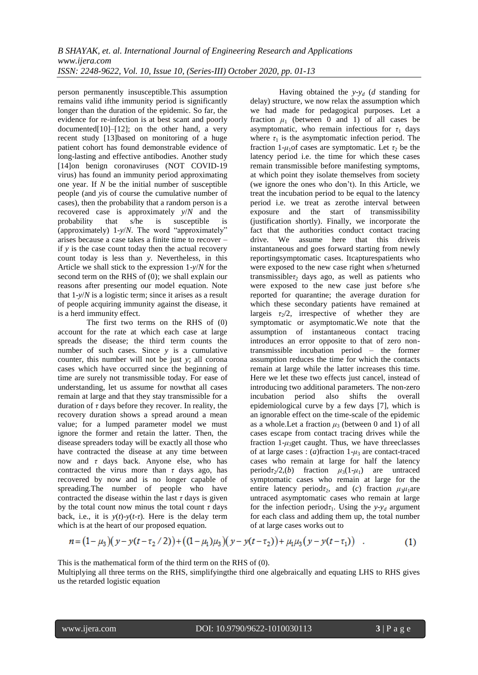person permanently insusceptible.This assumption remains valid ifthe immunity period is significantly longer than the duration of the epidemic. So far, the evidence for re-infection is at best scant and poorly documented $[10]$ – $[12]$ ; on the other hand, a very recent study [13]based on monitoring of a huge patient cohort has found demonstrable evidence of long-lasting and effective antibodies. Another study [14]on benign coronaviruses (NOT COVID-19 virus) has found an immunity period approximating one year. If *N* be the initial number of susceptible people (and *y*is of course the cumulative number of cases), then the probability that a random person is a recovered case is approximately *y*/*N* and the probability that s/he is susceptible is (approximately) 1-*y*/*N*. The word "approximately" arises because a case takes a finite time to recover – if *y* is the case count today then the actual recovery count today is less than *y*. Nevertheless, in this Article we shall stick to the expression 1-*y*/*N* for the second term on the RHS of (0); we shall explain our reasons after presenting our model equation. Note that 1-*y*/*N* is a logistic term; since it arises as a result of people acquiring immunity against the disease, it is a herd immunity effect.

The first two terms on the RHS of (0) account for the rate at which each case at large spreads the disease; the third term counts the number of such cases. Since *y* is a cumulative counter, this number will not be just *y*; all corona cases which have occurred since the beginning of time are surely not transmissible today. For ease of understanding, let us assume for nowthat all cases remain at large and that they stay transmissible for a duration of *τ* days before they recover. In reality, the recovery duration shows a spread around a mean value; for a lumped parameter model we must ignore the former and retain the latter. Then, the disease spreaders today will be exactly all those who have contracted the disease at any time between now and *τ* days back. Anyone else, who has contracted the virus more than  $\tau$  days ago, has recovered by now and is no longer capable of spreading.The number of people who have contracted the disease within the last  $\tau$  days is given by the total count now minus the total count  $\tau$  days back, i.e., it is  $y(t)-y(t-\tau)$ . Here is the delay term which is at the heart of our proposed equation.

Having obtained the  $y-y_d$  (*d* standing for delay) structure, we now relax the assumption which we had made for pedagogical purposes. Let a fraction  $\mu_1$  (between 0 and 1) of all cases be asymptomatic, who remain infectious for  $\tau_1$  days where  $\tau_1$  is the asymptomatic infection period. The fraction 1- $\mu_1$ of cases are symptomatic. Let  $\tau_2$  be the latency period i.e. the time for which these cases remain transmissible before manifesting symptoms, at which point they isolate themselves from society (we ignore the ones who don't). In this Article, we treat the incubation period to be equal to the latency period i.e. we treat as zerothe interval between exposure and the start of transmissibility (justification shortly). Finally, we incorporate the fact that the authorities conduct contact tracing drive. We assume here that this driveis instantaneous and goes forward starting from newly reportingsymptomatic cases. Itcapturespatients who were exposed to the new case right when s/heturned transmissible*τ*<sub>2</sub> days ago, as well as patients who were exposed to the new case just before s/he reported for quarantine; the average duration for which these secondary patients have remained at largeis  $\tau_2/2$ , irrespective of whether they are symptomatic or asymptomatic.We note that the assumption of instantaneous contact tracing introduces an error opposite to that of zero nontransmissible incubation period – the former assumption reduces the time for which the contacts remain at large while the latter increases this time. Here we let these two effects just cancel, instead of introducing two additional parameters. The non-zero incubation period also shifts the overall epidemiological curve by a few days [7], which is an ignorable effect on the time-scale of the epidemic as a whole. Let a fraction  $\mu_3$  (between 0 and 1) of all cases escape from contact tracing drives while the fraction  $1-\mu_3$ get caught. Thus, we have threeclasses of at large cases : (*a*)fraction 1-*μ*<sup>3</sup> are contact-traced cases who remain at large for half the latency period $\tau_2/2$ , (*b*) fraction  $\mu_3(1-\mu_1)$  are untraced symptomatic cases who remain at large for the entire latency period $\tau_2$ , and (*c*) fraction  $\mu_3\mu_1$ are untraced asymptomatic cases who remain at large for the infection period $\tau_1$ . Using the *y*-*y<sub>d</sub>* argument for each class and adding them up, the total number of at large cases works out to

$$
n = (1 - \mu_3)(y - y(t - \tau_2 / 2)) + ((1 - \mu_1)\mu_3)(y - y(t - \tau_2)) + \mu_1\mu_3(y - y(t - \tau_1))
$$
\n(1)

This is the mathematical form of the third term on the RHS of (0).

Multiplying all three terms on the RHS, simplifyingthe third one algebraically and equating LHS to RHS gives us the retarded logistic equation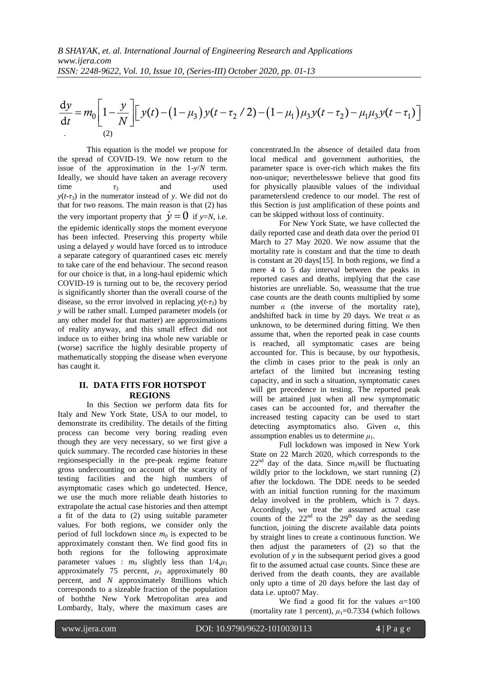d 1 ( ) 1 ( / 2) 1 ( ) ( ) d *y y m y t y t y t y t t N μ τ μ μ τ μ μ τ* . (2)

 $\frac{dy}{dt} = m_0 \left[1 - \frac{y}{N}\right] \left[ y(t) - (1 - \mu_0) y(t - \tau_2/2) - (1 - \mu_1) \mu_3 y(t - \tau_2) - \mu_1 \mu_3 y(t - \tau_1)$ <br>
Lies equation is the austic we goes for ex-<br>
This equation is the austic we goes for ex-<br>
This equation is the austic we goes for This equation is the model we propose for the spread of COVID-19. We now return to the issue of the approximation in the 1-*y*/*N* term. Ideally, we should have taken an average recovery time  $\tau_3$  and used  $y(t-\tau_3)$  in the numerator instead of *y*. We did not do that for two reasons. The main reason is that (2) has the very important property that  $\dot{y} = 0$  if *y*=*N*, i.e. the epidemic identically stops the moment everyone has been infected. Preserving this property while using a delayed *y* would have forced us to introduce a separate category of quarantined cases etc merely to take care of the end behaviour. The second reason for our choice is that, in a long-haul epidemic which COVID-19 is turning out to be, the recovery period is significantly shorter than the overall course of the disease, so the error involved in replacing  $y(t-\tau_3)$  by *y* will be rather small. Lumped parameter models (or any other model for that matter) are approximations of reality anyway, and this small effect did not induce us to either bring ina whole new variable or (worse) sacrifice the highly desirable property of mathematically stopping the disease when everyone has caught it.

## **II. DATA FITS FOR HOTSPOT REGIONS**

In this Section we perform data fits for Italy and New York State, USA to our model, to demonstrate its credibility. The details of the fitting process can become very boring reading even though they are very necessary, so we first give a quick summary. The recorded case histories in these regionsespecially in the pre-peak regime feature gross undercounting on account of the scarcity of testing facilities and the high numbers of asymptomatic cases which go undetected. Hence, we use the much more reliable death histories to extrapolate the actual case histories and then attempt a fit of the data to (2) using suitable parameter values. For both regions, we consider only the period of full lockdown since  $m_0$  is expected to be approximately constant then. We find good fits in both regions for the following approximate parameter values :  $m_0$  slightly less than  $1/4, \mu_1$ approximately 75 percent,  $\mu_3$  approximately 80 percent, and *N* approximately 8millions which corresponds to a sizeable fraction of the population of boththe New York Metropolitan area and Lombardy, Italy, where the maximum cases are concentrated.In the absence of detailed data from local medical and government authorities, the parameter space is over-rich which makes the fits non-unique; neverthelesswe believe that good fits for physically plausible values of the individual parameterslend credence to our model. The rest of this Section is just amplification of these points and can be skipped without loss of continuity.

For New York State, we have collected the daily reported case and death data over the period 01 March to 27 May 2020. We now assume that the mortality rate is constant and that the time to death is constant at 20 days[15]. In both regions, we find a mere 4 to 5 day interval between the peaks in reported cases and deaths, implying that the case histories are unreliable. So, weassume that the true case counts are the death counts multiplied by some number  $\alpha$  (the inverse of the mortality rate), andshifted back in time by 20 days. We treat  $\alpha$  as unknown, to be determined during fitting. We then assume that, when the reported peak in case counts is reached, all symptomatic cases are being accounted for. This is because, by our hypothesis, the climb in cases prior to the peak is only an artefact of the limited but increasing testing capacity, and in such a situation, symptomatic cases will get precedence in testing. The reported peak will be attained just when all new symptomatic cases can be accounted for, and thereafter the increased testing capacity can be used to start detecting asymptomatics also. Given *α*, this assumption enables us to determine  $\mu_1$ .

Full lockdown was imposed in New York State on 22 March 2020, which corresponds to the  $22<sup>nd</sup>$  day of the data. Since  $m_0$  will be fluctuating wildly prior to the lockdown, we start running  $(2)$ after the lockdown. The DDE needs to be seeded with an initial function running for the maximum delay involved in the problem, which is 7 days. Accordingly, we treat the assumed actual case counts of the  $22<sup>nd</sup>$  to the  $29<sup>th</sup>$  day as the seeding function, joining the discrete available data points by straight lines to create a continuous function. We then adjust the parameters of (2) so that the evolution of *y* in the subsequent period gives a good fit to the assumed actual case counts. Since these are derived from the death counts, they are available only upto a time of 20 days before the last day of data i.e. upto07 May.

We find a good fit for the values  $\alpha = 100$ (mortality rate 1 percent),  $\mu_1 = 0.7334$  (which follows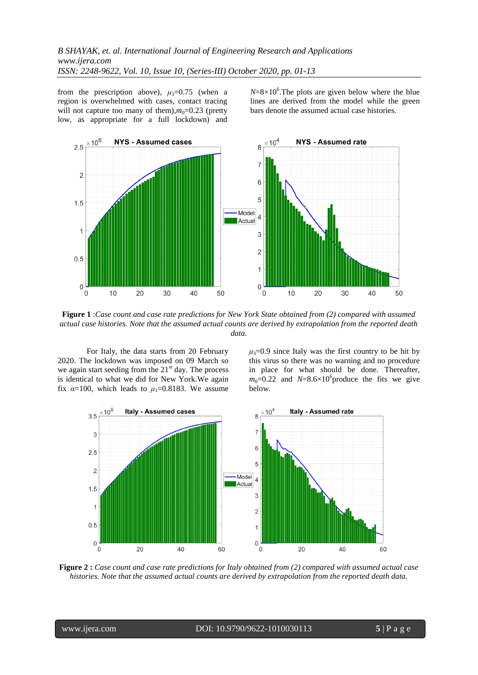from the prescription above),  $\mu_3=0.75$  (when a region is overwhelmed with cases, contact tracing will not capture too many of them), $m_0$ =0.23 (pretty low, as appropriate for a full lockdown) and

 $N=8\times10^6$ . The plots are given below where the blue lines are derived from the model while the green bars denote the assumed actual case histories.



**Figure 1** :*Case count and case rate predictions for New York State obtained from (2) compared with assumed actual case histories. Note that the assumed actual counts are derived by extrapolation from the reported death data.*

For Italy, the data starts from 20 February 2020. The lockdown was imposed on 09 March so we again start seeding from the  $21<sup>st</sup>$  day. The process is identical to what we did for New York.We again fix  $\alpha$ =100, which leads to  $\mu$ <sub>1</sub>=0.8183. We assume

 $\mu_3 = 0.9$  since Italy was the first country to be hit by this virus so there was no warning and no procedure in place for what should be done. Thereafter,  $m_0$ =0.22 and *N*=8.6×10<sup>6</sup> produce the fits we give below.



**Figure 2 :** *Case count and case rate predictions for Italy obtained from (2) compared with assumed actual case histories. Note that the assumed actual counts are derived by extrapolation from the reported death data.*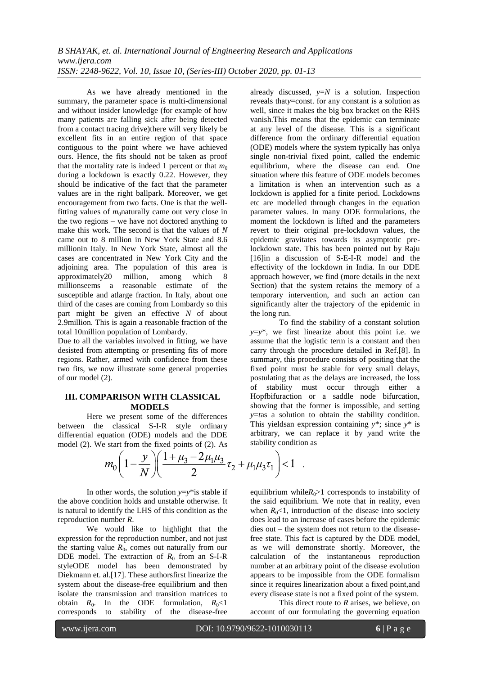As we have already mentioned in the summary, the parameter space is multi-dimensional and without insider knowledge (for example of how many patients are falling sick after being detected from a contact tracing drive)there will very likely be excellent fits in an entire region of that space contiguous to the point where we have achieved ours. Hence, the fits should not be taken as proof that the mortality rate is indeed 1 percent or that  $m_0$ during a lockdown is exactly 0.22. However, they should be indicative of the fact that the parameter values are in the right ballpark. Moreover, we get encouragement from two facts. One is that the wellfitting values of  $m_0$ naturally came out very close in the two regions – we have not doctored anything to make this work. The second is that the values of *N* came out to 8 million in New York State and 8.6 millionin Italy. In New York State, almost all the cases are concentrated in New York City and the adjoining area. The population of this area is approximately20 million, among which 8 millionseems a reasonable estimate of the susceptible and atlarge fraction. In Italy, about one third of the cases are coming from Lombardy so this part might be given an effective *N* of about 2.9million. This is again a reasonable fraction of the total 10million population of Lombardy.

Due to all the variables involved in fitting, we have desisted from attempting or presenting fits of more regions. Rather, armed with confidence from these two fits, we now illustrate some general properties of our model (2).

#### **III. COMPARISON WITH CLASSICAL MODELS**

Here we present some of the differences between the classical S-I-R style ordinary differential equation (ODE) models and the DDE already discussed,  $y=N$  is a solution. Inspection reveals that*y*=const. for any constant is a solution as well, since it makes the big box bracket on the RHS vanish.This means that the epidemic can terminate at any level of the disease. This is a significant difference from the ordinary differential equation (ODE) models where the system typically has onlya single non-trivial fixed point, called the endemic equilibrium, where the disease can end. One situation where this feature of ODE models becomes a limitation is when an intervention such as a lockdown is applied for a finite period. Lockdowns etc are modelled through changes in the equation parameter values. In many ODE formulations, the moment the lockdown is lifted and the parameters revert to their original pre-lockdown values, the epidemic gravitates towards its asymptotic prelockdown state. This has been pointed out by Raju [16]in a discussion of S-E-I-R model and the effectivity of the lockdown in India. In our DDE approach however, we find (more details in the next Section) that the system retains the memory of a temporary intervention, and such an action can significantly alter the trajectory of the epidemic in the long run.

To find the stability of a constant solution  $y=y^*$ , we first linearize about this point i.e. we assume that the logistic term is a constant and then carry through the procedure detailed in Ref.[8]. In summary, this procedure consists of positing that the fixed point must be stable for very small delays, postulating that as the delays are increased, the loss of stability must occur through either a Hopfbifuraction or a saddle node bifurcation, showing that the former is impossible, and setting *y*=*t*as a solution to obtain the stability condition. This yieldsan expression containing *y*\*; since *y*\* is arbitrary, we can replace it by *y*and write the

differential equation (ODE) models and the DDE model (2). We start from the fixed points of (2). As 
$$
m_0 \left(1 - \frac{y}{N}\right) \left(\frac{1 + \mu_3 - 2\mu_1\mu_3}{2}\tau_2 + \mu_1\mu_3\tau_1\right) < 1
$$
.

In other words, the solution  $y=y^*$  is stable if the above condition holds and unstable otherwise. It is natural to identify the LHS of this condition as the reproduction number *R*.

We would like to highlight that the expression for the reproduction number, and not just the starting value  $R_0$ , comes out naturally from our DDE model. The extraction of  $R_0$  from an S-I-R styleODE model has been demonstrated by Diekmann et. al.[17]. These authorsfirst linearize the system about the disease-free equilibrium and then isolate the transmission and transition matrices to obtain  $R_0$ . In the ODE formulation,  $R_0 < 1$  corresponds to stability of the disease-free to stability of the disease-free equilibrium while $R_0$ >1 corresponds to instability of the said equilibrium. We note that in reality, even when  $R_0$ <1, introduction of the disease into society does lead to an increase of cases before the epidemic dies out – the system does not return to the diseasefree state. This fact is captured by the DDE model, as we will demonstrate shortly. Moreover, the calculation of the instantaneous reproduction number at an arbitrary point of the disease evolution appears to be impossible from the ODE formalism since it requires linearization about a fixed point,and every disease state is not a fixed point of the system.

This direct route to *R* arises, we believe, on account of our formulating the governing equation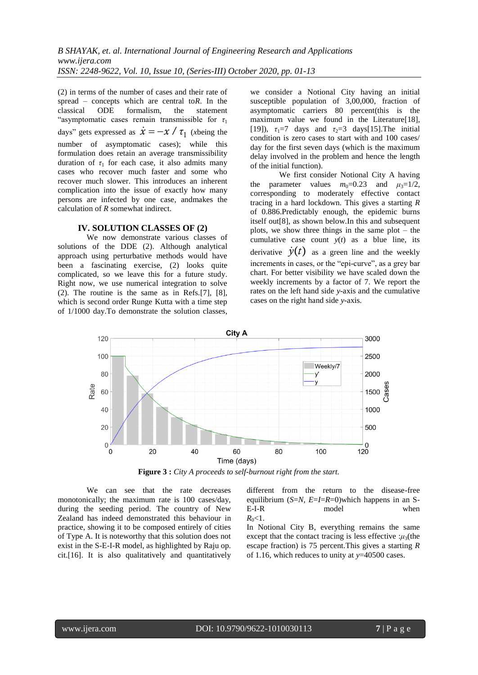(2) in terms of the number of cases and their rate of spread – concepts which are central to*R*. In the classical ODE formalism, the statement "asymptomatic cases remain transmissible for  $\tau_1$ days" gets expressed as  $\dot{x} = -x / \tau_1$  (*x*being the number of asymptomatic cases); while this formulation does retain an average transmissibility duration of  $\tau_1$  for each case, it also admits many cases who recover much faster and some who recover much slower. This introduces an inherent complication into the issue of exactly how many persons are infected by one case, andmakes the calculation of *R* somewhat indirect.

### **IV. SOLUTION CLASSES OF (2)**

We now demonstrate various classes of solutions of the DDE (2). Although analytical approach using perturbative methods would have been a fascinating exercise, (2) looks quite complicated, so we leave this for a future study. Right now, we use numerical integration to solve (2). The routine is the same as in Refs.[7], [8], which is second order Runge Kutta with a time step of 1/1000 day.To demonstrate the solution classes, we consider a Notional City having an initial susceptible population of 3,00,000, fraction of asymptomatic carriers 80 percent(this is the maximum value we found in the Literature<sup>[18]</sup>, [19]),  $\tau_1=7$  days and  $\tau_2=3$  days [15]. The initial condition is zero cases to start with and 100 cases/ day for the first seven days (which is the maximum delay involved in the problem and hence the length of the initial function).

We first consider Notional City A having the parameter values  $m_0=0.23$  and  $\mu_3=1/2$ , corresponding to moderately effective contact tracing in a hard lockdown. This gives a starting *R* of 0.886.Predictably enough, the epidemic burns itself out[8], as shown below.In this and subsequent plots, we show three things in the same plot – the cumulative case count  $y(t)$  as a blue line, its derivative  $\dot{y}(t)$  as a green line and the weekly increments in cases, or the "epi-curve", as a grey bar chart. For better visibility we have scaled down the weekly increments by a factor of 7. We report the rates on the left hand side *y*-axis and the cumulative cases on the right hand side *y*-axis.



**Figure 3 :** *City A proceeds to self-burnout right from the start.*

We can see that the rate decreases monotonically; the maximum rate is 100 cases/day, during the seeding period. The country of New Zealand has indeed demonstrated this behaviour in practice, showing it to be composed entirely of cities of Type A. It is noteworthy that this solution does not exist in the S-E-I-R model, as highlighted by Raju op. cit.[16]. It is also qualitatively and quantitatively

different from the return to the disease-free equilibrium (*S*=*N*, *E*=*I*=*R*=0)which happens in an S-E-I-R model when  $R_0$  < 1.

In Notional City B, everything remains the same except that the contact tracing is less effective  $:\mu_3$ (the escape fraction) is 75 percent.This gives a starting *R* of 1.16, which reduces to unity at *y*=40500 cases.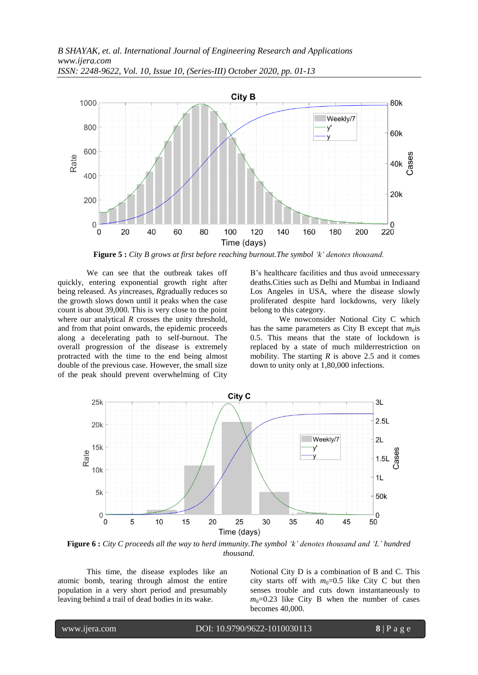

**Figure 5 :** *City B grows at first before reaching burnout.The symbol 'k' denotes thousand.*

We can see that the outbreak takes off quickly, entering exponential growth right after being released. As *y*increases, *R*gradually reduces so the growth slows down until it peaks when the case count is about 39,000. This is very close to the point where our analytical *R* crosses the unity threshold, and from that point onwards, the epidemic proceeds along a decelerating path to self-burnout. The overall progression of the disease is extremely protracted with the time to the end being almost double of the previous case. However, the small size of the peak should prevent overwhelming of City B's healthcare facilities and thus avoid unnecessary deaths.Cities such as Delhi and Mumbai in Indiaand Los Angeles in USA, where the disease slowly proliferated despite hard lockdowns, very likely belong to this category.

We nowconsider Notional City C which has the same parameters as City B except that  $m_0$  is 0.5. This means that the state of lockdown is replaced by a state of much milderrestriction on mobility. The starting  $R$  is above 2.5 and it comes down to unity only at 1,80,000 infections.



**Figure 6 :** *City C proceeds all the way to herd immunity.The symbol 'k' denotes thousand and 'L' hundred thousand.*

This time, the disease explodes like an atomic bomb, tearing through almost the entire population in a very short period and presumably leaving behind a trail of dead bodies in its wake.

Notional City D is a combination of B and C. This city starts off with  $m_0=0.5$  like City C but then senses trouble and cuts down instantaneously to  $m_0$ =0.23 like City B when the number of cases becomes 40,000.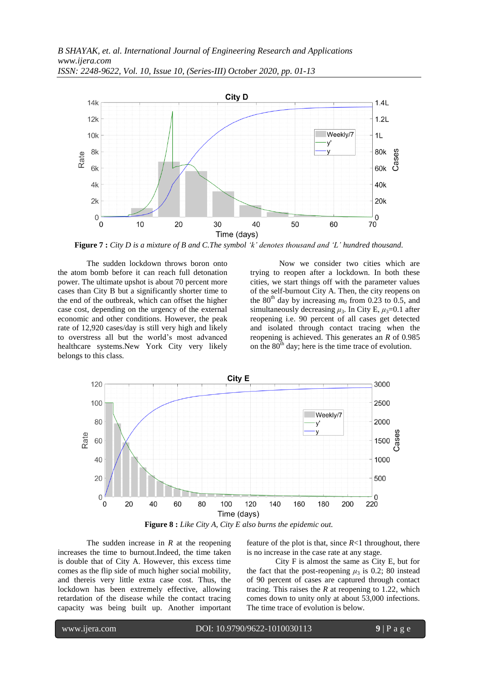

**Figure 7 :** *City D is a mixture of B and C.The symbol 'k' denotes thousand and 'L' hundred thousand.*

The sudden lockdown throws boron onto the atom bomb before it can reach full detonation power. The ultimate upshot is about 70 percent more cases than City B but a significantly shorter time to the end of the outbreak, which can offset the higher case cost, depending on the urgency of the external economic and other conditions. However, the peak rate of 12,920 cases/day is still very high and likely to overstress all but the world's most advanced healthcare systems.New York City very likely belongs to this class.

Now we consider two cities which are trying to reopen after a lockdown. In both these cities, we start things off with the parameter values of the self-burnout City A. Then, the city reopens on the 80<sup>th</sup> day by increasing  $m_0$  from 0.23 to 0.5, and simultaneously decreasing  $\mu_3$ . In City E,  $\mu_3$ =0.1 after reopening i.e. 90 percent of all cases get detected and isolated through contact tracing when the reopening is achieved. This generates an *R* of 0.985 on the  $80<sup>th</sup>$  day; here is the time trace of evolution.



**Figure 8 :** *Like City A, City E also burns the epidemic out.*

The sudden increase in *R* at the reopening increases the time to burnout.Indeed, the time taken is double that of City A. However, this excess time comes as the flip side of much higher social mobility, and thereis very little extra case cost. Thus, the lockdown has been extremely effective, allowing retardation of the disease while the contact tracing capacity was being built up. Another important

feature of the plot is that, since  $R<1$  throughout, there is no increase in the case rate at any stage.

City F is almost the same as City E, but for the fact that the post-reopening  $\mu_3$  is 0.2; 80 instead of 90 percent of cases are captured through contact tracing. This raises the *R* at reopening to 1.22, which comes down to unity only at about 53,000 infections. The time trace of evolution is below.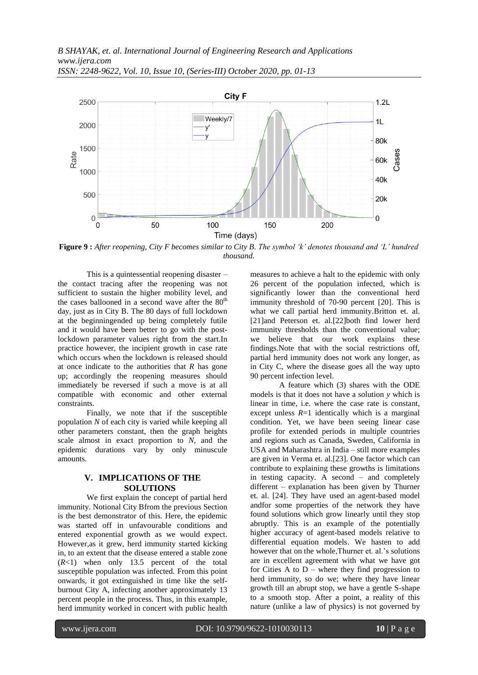

**Figure 9 :** *After reopening, City F becomes similar to City B. The symbol 'k' denotes thousand and 'L' hundred thousand.*

This is a quintessential reopening disaster – the contact tracing after the reopening was not sufficient to sustain the higher mobility level, and the cases ballooned in a second wave after the  $80<sup>th</sup>$ day, just as in City B. The 80 days of full lockdown at the beginningended up being completely futile and it would have been better to go with the postlockdown parameter values right from the start.In practice however, the incipient growth in case rate which occurs when the lockdown is released should at once indicate to the authorities that *R* has gone up; accordingly the reopening measures should immediately be reversed if such a move is at all compatible with economic and other external constraints.

Finally, we note that if the susceptible population *N* of each city is varied while keeping all other parameters constant, then the graph heights scale almost in exact proportion to *N*, and the epidemic durations vary by only minuscule amounts.

## **V. IMPLICATIONS OF THE SOLUTIONS**

We first explain the concept of partial herd immunity. Notional City Bfrom the previous Section is the best demonstrator of this. Here, the epidemic was started off in unfavourable conditions and entered exponential growth as we would expect. However,as it grew, herd immunity started kicking in, to an extent that the disease entered a stable zone (*R*<1) when only 13.5 percent of the total susceptible population was infected. From this point onwards, it got extinguished in time like the selfburnout City A, infecting another approximately 13 percent people in the process. Thus, in this example, herd immunity worked in concert with public health measures to achieve a halt to the epidemic with only 26 percent of the population infected, which is significantly lower than the conventional herd immunity threshold of 70-90 percent [20]. This is what we call partial herd immunity.Britton et. al. [21]and Peterson et. al.[22]both find lower herd immunity thresholds than the conventional value; we believe that our work explains these findings.Note that with the social restrictions off, partial herd immunity does not work any longer, as in City C, where the disease goes all the way upto 90 percent infection level.

A feature which (3) shares with the ODE models is that it does not have a solution *y* which is linear in time, i.e. where the case rate is constant, except unless  $R=1$  identically which is a marginal condition. Yet, we have been seeing linear case profile for extended periods in multiple countries and regions such as Canada, Sweden, California in USA and Maharashtra in India – still more examples are given in Verma et. al.[23]. One factor which can contribute to explaining these growths is limitations in testing capacity. A second – and completely different – explanation has been given by Thurner et. al. [24]. They have used an agent-based model andfor some properties of the network they have found solutions which grow linearly until they stop abruptly. This is an example of the potentially higher accuracy of agent-based models relative to differential equation models. We hasten to add however that on the whole,Thurner et. al.'s solutions are in excellent agreement with what we have got for Cities  $A$  to  $D$  – where they find progression to herd immunity, so do we; where they have linear growth till an abrupt stop, we have a gentle S-shape to a smooth stop. After a point, a reality of this nature (unlike a law of physics) is not governed by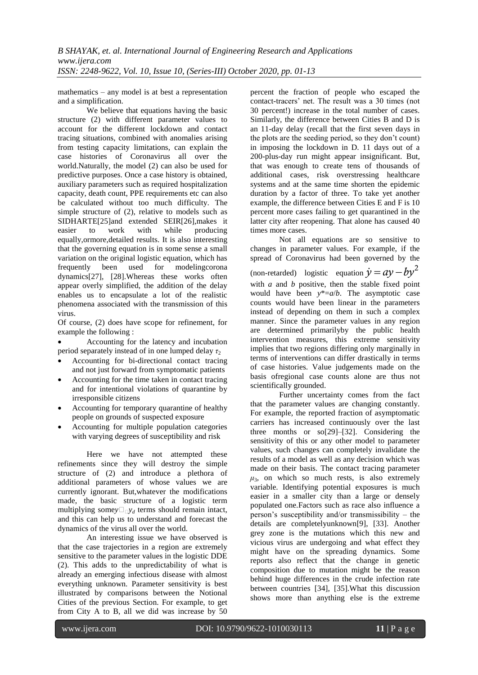mathematics – any model is at best a representation and a simplification.

We believe that equations having the basic structure (2) with different parameter values to account for the different lockdown and contact tracing situations, combined with anomalies arising from testing capacity limitations, can explain the case histories of Coronavirus all over the world.Naturally, the model (2) can also be used for predictive purposes. Once a case history is obtained, auxiliary parameters such as required hospitalization capacity, death count, PPE requirements etc can also be calculated without too much difficulty. The simple structure of (2), relative to models such as SIDHARTE[25]and extended SEIR[26],makes it easier to work with while producing equally,ormore,detailed results. It is also interesting that the governing equation is in some sense a small variation on the original logistic equation, which has frequently been used for modelingcorona dynamics[27], [28].Whereas these works often appear overly simplified, the addition of the delay enables us to encapsulate a lot of the realistic phenomena associated with the transmission of this virus.

Of course, (2) does have scope for refinement, for example the following :

 Accounting for the latency and incubation period separately instead of in one lumped delay  $\tau_2$ 

- Accounting for bi-directional contact tracing and not just forward from symptomatic patients
- Accounting for the time taken in contact tracing and for intentional violations of quarantine by irresponsible citizens
- Accounting for temporary quarantine of healthy people on grounds of suspected exposure
- Accounting for multiple population categories with varying degrees of susceptibility and risk

Here we have not attempted these refinements since they will destroy the simple structure of (2) and introduce a plethora of additional parameters of whose values we are currently ignorant. But,whatever the modifications made, the basic structure of a logistic term multiplying some $y \Box_{\Box} y_d$  terms should remain intact, and this can help us to understand and forecast the dynamics of the virus all over the world.

An interesting issue we have observed is that the case trajectories in a region are extremely sensitive to the parameter values in the logistic DDE (2). This adds to the unpredictability of what is already an emerging infectious disease with almost everything unknown. Parameter sensitivity is best illustrated by comparisons between the Notional Cities of the previous Section. For example, to get from City A to B, all we did was increase by 50 percent the fraction of people who escaped the contact-tracers' net. The result was a 30 times (not 30 percent!) increase in the total number of cases. Similarly, the difference between Cities B and D is an 11-day delay (recall that the first seven days in the plots are the seeding period, so they don't count) in imposing the lockdown in D. 11 days out of a 200-plus-day run might appear insignificant. But, that was enough to create tens of thousands of additional cases, risk overstressing healthcare systems and at the same time shorten the epidemic duration by a factor of three. To take yet another example, the difference between Cities E and F is 10 percent more cases failing to get quarantined in the latter city after reopening. That alone has caused 40 times more cases.

Not all equations are so sensitive to changes in parameter values. For example, if the spread of Coronavirus had been governed by the (non-retarded) logistic equation  $\dot{y} = ay - by^2$ with *a* and *b* positive, then the stable fixed point would have been *y*\*=*a*/*b*. The asymptotic case counts would have been linear in the parameters instead of depending on them in such a complex manner. Since the parameter values in any region are determined primarilyby the public health intervention measures, this extreme sensitivity implies that two regions differing only marginally in terms of interventions can differ drastically in terms of case histories. Value judgements made on the basis ofregional case counts alone are thus not scientifically grounded.

Further uncertainty comes from the fact that the parameter values are changing constantly. For example, the reported fraction of asymptomatic carriers has increased continuously over the last three months or so[29]–[32]. Considering the sensitivity of this or any other model to parameter values, such changes can completely invalidate the results of a model as well as any decision which was made on their basis. The contact tracing parameter  $\mu_3$ , on which so much rests, is also extremely variable. Identifying potential exposures is much easier in a smaller city than a large or densely populated one.Factors such as race also influence a person's susceptibility and/or transmissibility – the details are completelyunknown[9], [33]. Another grey zone is the mutations which this new and vicious virus are undergoing and what effect they might have on the spreading dynamics. Some reports also reflect that the change in genetic composition due to mutation might be the reason behind huge differences in the crude infection rate between countries [34], [35].What this discussion shows more than anything else is the extreme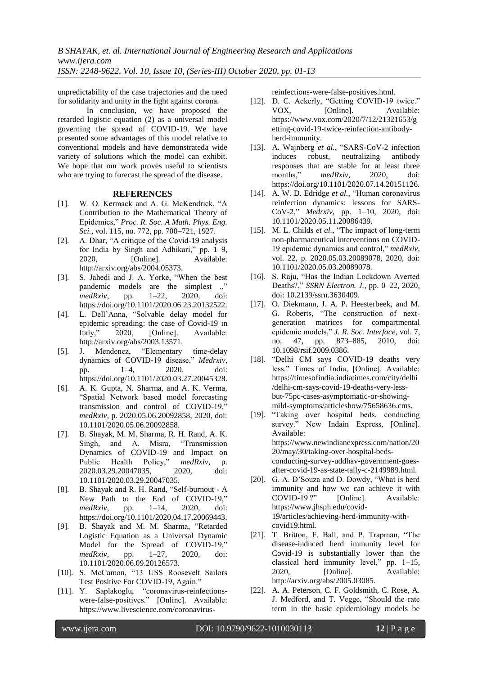unpredictability of the case trajectories and the need for solidarity and unity in the fight against corona.

In conclusion, we have proposed the retarded logistic equation (2) as a universal model governing the spread of COVID-19. We have presented some advantages of this model relative to conventional models and have demonstrateda wide variety of solutions which the model can exhibit. We hope that our work proves useful to scientists who are trying to forecast the spread of the disease.

#### **REFERENCES**

- [1]. W. O. Kermack and A. G. McKendrick, "A Contribution to the Mathematical Theory of Epidemics," *Proc. R. Soc. A Math. Phys. Eng. Sci.*, vol. 115, no. 772, pp. 700–721, 1927.
- [2]. A. Dhar, "A critique of the Covid-19 analysis for India by Singh and Adhikari," pp. 1–9, 2020, [Online]. Available: http://arxiv.org/abs/2004.05373.
- [3]. S. Jahedi and J. A. Yorke, "When the best pandemic models are the simplest ..." *medRxiv*, pp. 1–22, 2020, doi: https://doi.org/10.1101/2020.06.23.20132522.
- [4]. L. Dell'Anna, "Solvable delay model for epidemic spreading: the case of Covid-19 in Italy," 2020, [Online]. Available: http://arxiv.org/abs/2003.13571.
- [5]. J. Mendenez, "Elementary time-delay dynamics of COVID-19 disease," *Medrxiv*, pp. 1–4, 2020, doi: https://doi.org/10.1101/2020.03.27.20045328.
- [6]. A. K. Gupta, N. Sharma, and A. K. Verma, "Spatial Network based model forecasting transmission and control of COVID-19," *medRxiv*, p. 2020.05.06.20092858, 2020, doi: 10.1101/2020.05.06.20092858.
- [7]. B. Shayak, M. M. Sharma, R. H. Rand, A. K. Singh, and A. Misra, "Transmission Dynamics of COVID-19 and Impact on Public Health Policy," *medRxiv*, p. 2020.03.29.20047035, 2020, doi: 10.1101/2020.03.29.20047035.
- [8]. B. Shayak and R. H. Rand, "Self-burnout A New Path to the End of COVID-19," *medRxiv*, pp. 1–14, 2020, doi: https://doi.org/10.1101/2020.04.17.20069443.
- [9]. B. Shayak and M. M. Sharma, "Retarded Logistic Equation as a Universal Dynamic Model for the Spread of COVID-19," *medRxiv*, pp. 1–27, 2020, doi: 10.1101/2020.06.09.20126573.
- [10]. S. McCamon, "13 USS Roosevelt Sailors Test Positive For COVID-19, Again."
- [11]. Y. Saplakoglu, "coronavirus-reinfectionswere-false-positives." [Online]. Available: https://www.livescience.com/coronavirus-

reinfections-were-false-positives.html.

- [12]. D. C. Ackerly, "Getting COVID-19 twice." VOX, [Online]. Available: https://www.vox.com/2020/7/12/21321653/g etting-covid-19-twice-reinfection-antibodyherd-immunity.
- [13]. A. Wajnberg *et al.*, "SARS-CoV-2 infection induces robust, neutralizing antibody responses that are stable for at least three months," *medRxiv*, 2020, doi: https://doi.org/10.1101/2020.07.14.20151126.
- [14]. A. W. D. Edridge *et al.*, "Human coronavirus reinfection dynamics: lessons for SARS-CoV-2," *Medrxiv*, pp. 1–10, 2020, doi: 10.1101/2020.05.11.20086439.
- [15]. M. L. Childs *et al.*, "The impact of long-term non-pharmaceutical interventions on COVID-19 epidemic dynamics and control," *medRxiv*, vol. 22, p. 2020.05.03.20089078, 2020, doi: 10.1101/2020.05.03.20089078.
- [16]. S. Raju, "Has the Indian Lockdown Averted Deaths?," *SSRN Electron. J.*, pp. 0–22, 2020, doi: 10.2139/ssrn.3630409.
- [17]. O. Diekmann, J. A. P. Heesterbeek, and M. G. Roberts, "The construction of nextgeneration matrices for compartmental epidemic models," *J. R. Soc. Interface*, vol. 7, no. 47, pp. 873–885, 2010, doi: 10.1098/rsif.2009.0386.
- [18]. "Delhi CM says COVID-19 deaths very less." Times of India, [Online]. Available: https://timesofindia.indiatimes.com/city/delhi /delhi-cm-says-covid-19-deaths-very-lessbut-75pc-cases-asymptomatic-or-showingmild-symptoms/articleshow/75658636.cms.
- [19]. "Taking over hospital beds, conducting survey." New Indain Express, [Online]. Available: https://www.newindianexpress.com/nation/20 20/may/30/taking-over-hospital-bedsconducting-survey-uddhav-government-goesafter-covid-19-as-state-tally-c-2149989.html.
- [20]. G. A. D'Souza and D. Dowdy, "What is herd immunity and how we can achieve it with COVID-19 ?" [Online]. Available: https://www.jhsph.edu/covid-19/articles/achieving-herd-immunity-withcovid19.html.
- [21]. T. Britton, F. Ball, and P. Trapman, "The disease-induced herd immunity level for Covid-19 is substantially lower than the classical herd immunity level," pp. 1–15, 2020, [Online]. Available: http://arxiv.org/abs/2005.03085.
- [22]. A. A. Peterson, C. F. Goldsmith, C. Rose, A. J. Medford, and T. Vegge, "Should the rate term in the basic epidemiology models be